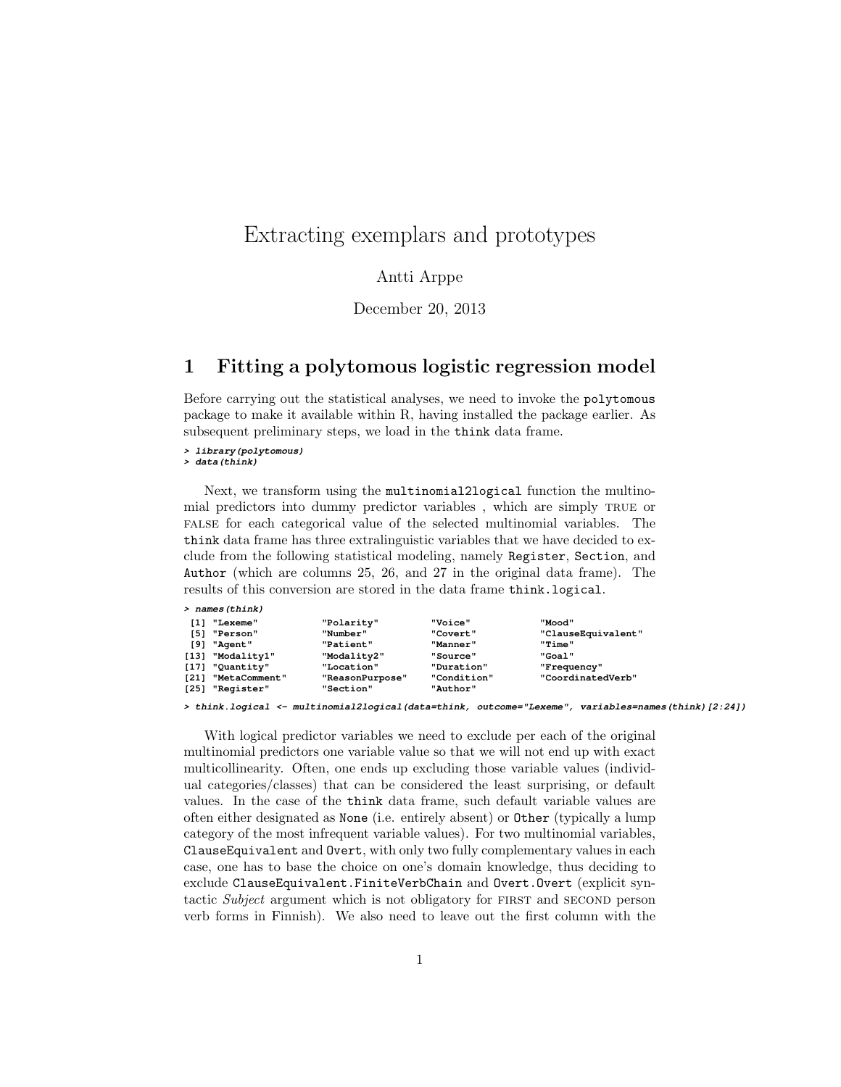## Extracting exemplars and prototypes

### Antti Arppe

December 20, 2013

### 1 Fitting a polytomous logistic regression model

Before carrying out the statistical analyses, we need to invoke the polytomous package to make it available within R, having installed the package earlier. As subsequent preliminary steps, we load in the think data frame.

### **> library(polytomous)**

**> data(think)**

Next, we transform using the multinomial2logical function the multinomial predictors into dummy predictor variables , which are simply true or false for each categorical value of the selected multinomial variables. The think data frame has three extralinguistic variables that we have decided to exclude from the following statistical modeling, namely Register, Section, and Author (which are columns 25, 26, and 27 in the original data frame). The results of this conversion are stored in the data frame think.logical.

| > names(think) |  |
|----------------|--|
|----------------|--|

| [1]<br>T 51 | "Lexeme"<br>"Person" | "Polarity"<br>"Number" | "Voice"<br>"Covert" | "Mood"<br>"ClauseEquivalent" |
|-------------|----------------------|------------------------|---------------------|------------------------------|
| T 9 1       | "Agent"              | "Patient"              | "Manner"            | "Time"                       |
| [13]        | "Modality1"          | "Modality2"            | "Source"            | "Goal"                       |
| [17]        | "Quantity"           | "Location"             | "Duration"          | "Frequency"                  |
| [21]        | "MetaComment"        | "ReasonPurpose"        | "Condition"         | "CoordinatedVerb"            |
| $[25]$      | "Register"           | "Section"              | "Author"            |                              |

**> think.logical <- multinomial2logical(data=think, outcome="Lexeme", variables=names(think)[2:24])**

With logical predictor variables we need to exclude per each of the original multinomial predictors one variable value so that we will not end up with exact multicollinearity. Often, one ends up excluding those variable values (individual categories/classes) that can be considered the least surprising, or default values. In the case of the think data frame, such default variable values are often either designated as None (i.e. entirely absent) or Other (typically a lump category of the most infrequent variable values). For two multinomial variables, ClauseEquivalent and Overt, with only two fully complementary values in each case, one has to base the choice on one's domain knowledge, thus deciding to exclude ClauseEquivalent.FiniteVerbChain and Overt.Overt (explicit syntactic Subject argument which is not obligatory for FIRST and SECOND person verb forms in Finnish). We also need to leave out the first column with the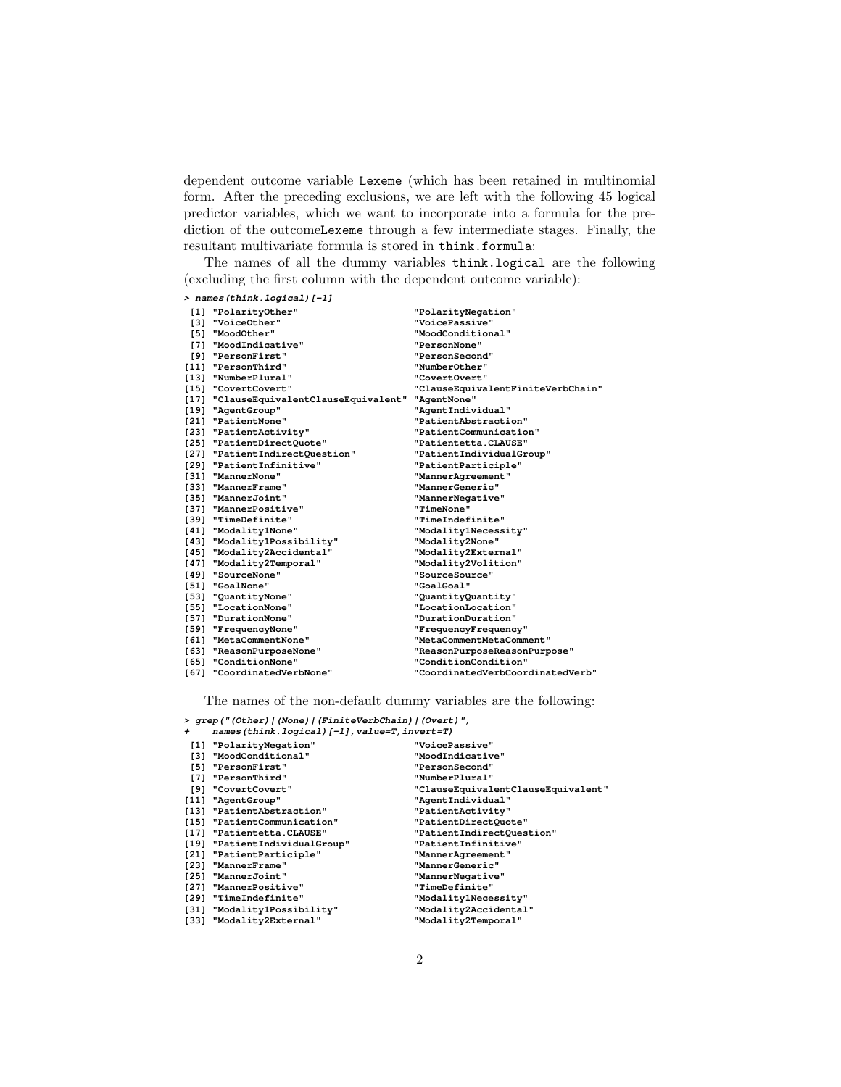dependent outcome variable Lexeme (which has been retained in multinomial form. After the preceding exclusions, we are left with the following 45 logical predictor variables, which we want to incorporate into a formula for the prediction of the outcomeLexeme through a few intermediate stages. Finally, the resultant multivariate formula is stored in think.formula:

The names of all the dummy variables think.logical are the following (excluding the first column with the dependent outcome variable):

| > names(think.logical)[-1]              |                                   |
|-----------------------------------------|-----------------------------------|
| [1] "PolarityOther"                     | "PolarityNegation"                |
| [3] "VoiceOther"                        | "VoicePassive"                    |
| [5] "MoodOther"                         | "MoodConditional"                 |
| [7] "MoodIndicative"                    | <b>"PersonNone"</b>               |
| [9] "PersonFirst"                       | "PersonSecond"                    |
| [11] "PersonThird"                      | "NumberOther"                     |
| [13] "NumberPlural"                     | "CovertOvert"                     |
| [15] "CovertCovert"                     | "ClauseEquivalentFiniteVerbChain" |
| [17] "ClauseEquivalentClauseEquivalent" | "AgentNone"                       |
| [19] "AgentGroup"                       | "AgentIndividual"                 |
| [21] "PatientNone"                      | "PatientAbstraction"              |
| [23] "PatientActivity"                  | "PatientCommunication"            |
| [25] "PatientDirectQuote"               | "Patientetta.CLAUSE"              |
| [27] "PatientIndirectQuestion"          | "PatientIndividualGroup"          |
| [29] "PatientInfinitive"                | "PatientParticiple"               |
| [31] "MannerNone"                       | "MannerAgreement"                 |
| [33] "MannerFrame"                      | "MannerGeneric"                   |
| [35] "MannerJoint"                      | "MannerNegative"                  |
| [37] "MannerPositive"                   | "TimeNone"                        |
| [39] "TimeDefinite"                     | "TimeIndefinite"                  |
| [41] "Modality1None"                    | "Modality1Necessity"              |
| [43] "Modality1Possibility"             | "Modality2None"                   |
| [45] "Modality2Accidental"              | "Modality2External"               |
| [47] "Modality2Temporal"                | "Modality2Volition"               |
| [49] "SourceNone"                       | "SourceSource"                    |
| [51] "GoalNone"                         | "GoalGoal"                        |
| [53] "QuantityNone"                     | "QuantityQuantity"                |
| [55] "LocationNone"                     | "LocationLocation"                |
| [57] "DurationNone"                     | "DurationDuration"                |
| [59] "FrequencyNone"                    | "FrequencyFrequency"              |
| [61] "MetaCommentNone"                  | "MetaCommentMetaComment"          |
| [63] "ReasonPurposeNone"                | "ReasonPurposeReasonPurpose"      |
| [65] "ConditionNone"                    | "ConditionCondition"              |
| [67] "CoordinatedVerbNone"              | "CoordinatedVerbCoordinatedVerb"  |

The names of the non-default dummy variables are the following:

**> grep("(Other)|(None)|(FiniteVerbChain)|(Overt)", + names(think.logical)[-1],value=T,invert=T)**

| $name$ ; $l$ . $l$            |                                    |
|-------------------------------|------------------------------------|
| [1] "PolarityNegation"        | "VoicePassive"                     |
| [3] "MoodConditional"         | "MoodIndicative"                   |
| [5] "PersonFirst"             | "PersonSecond"                     |
| [7] "PersonThird"             | "NumberPlural"                     |
| [9] "CovertCovert"            | "ClauseEquivalentClauseEquivalent" |
| [11] "AgentGroup"             | "AgentIndividual"                  |
| [13] "PatientAbstraction"     | "PatientActivity"                  |
| [15] "PatientCommunication"   | "PatientDirectQuote"               |
| [17] "Patientetta.CLAUSE"     | "PatientIndirectQuestion"          |
| [19] "PatientIndividualGroup" | "PatientInfinitive"                |
| [21] "PatientParticiple"      | "MannerAgreement"                  |
| [23] "MannerFrame"            | "MannerGeneric"                    |
| [25] "MannerJoint"            | "MannerNegative"                   |
| [27] "MannerPositive"         | "TimeDefinite"                     |
| [29] "TimeIndefinite"         | "Modality1Necessity"               |
| [31] "Modality1Possibility"   | "Modality2Accidental"              |
| [33] "Modality2External"      | "Modality2Temporal"                |
|                               |                                    |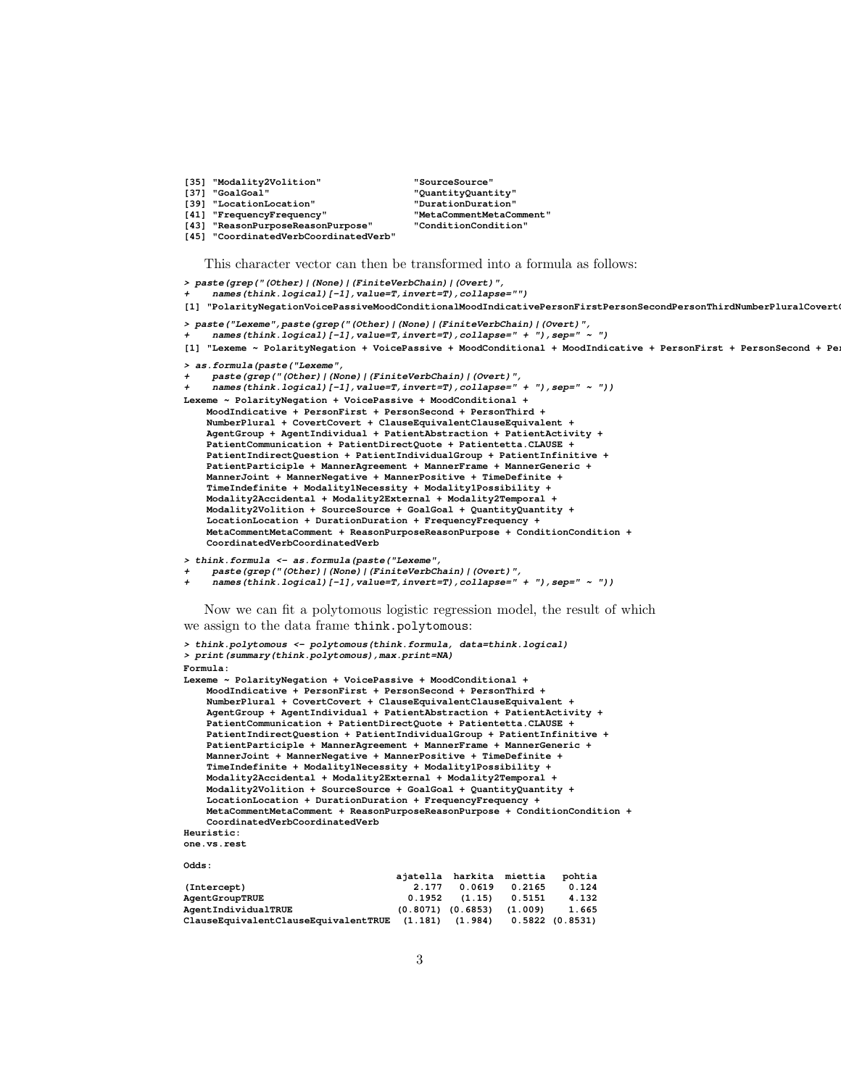- 
- 
- **108** The *i* Theory of *LasonPurpose*"
- **[45] "CoordinatedVerbCoordinatedVerb"**

```
[35] "Modality2Volition" "SourceSource"
[37] "GoalGoal" "QuantityQuantity"
[39] "LocationLocation" "DurationDuration"
[41] "FrequencyFrequency" "MetaCommentMetaComment"
```
This character vector can then be transformed into a formula as follows:

```
> paste(grep("(Other)|(None)|(FiniteVerbChain)|(Overt)",
    + names(think.logical)[-1],value=T,invert=T),collapse="")
[1] "PolarityNegationVoicePassiveMoodConditionalMoodIndicativePersonFirstPersonSecondPersonThirdNumberPluralCovert
> paste("Lexeme",paste(grep("(Other)|(None)|(FiniteVerbChain)|(Overt)",
     + names(think.logical)[-1],value=T,invert=T),collapse=" + "),sep=" ~ ")
[1] "Lexeme ~ PolarityNegation + VoicePassive + MoodConditional + MoodIndicative + PersonFirst + PersonSecond + Pe
> as.formula(paste("Lexeme",
     + paste(grep("(Other)|(None)|(FiniteVerbChain)|(Overt)",
     + names(think.logical)[-1],value=T,invert=T),collapse=" + "),sep=" ~ "))
Lexeme ~ PolarityNegation + VoicePassive + MoodConditional +
    MoodIndicative + PersonFirst + PersonSecond + PersonThird +
    NumberPlural + CovertCovert + ClauseEquivalentClauseEquivalent +
    AgentGroup + AgentIndividual + PatientAbstraction + PatientActivity +
    PatientCommunication + PatientDirectQuote + Patientetta.CLAUSE +
    PatientIndirectQuestion + PatientIndividualGroup + PatientInfinitive +
    PatientParticiple + MannerAgreement + MannerFrame + MannerGeneric +
    MannerJoint + MannerNegative + MannerPositive + TimeDefinite +
    TimeIndefinite + Modality1Necessity + Modality1Possibility +
    Modality2Accidental + Modality2External + Modality2Temporal +
    Modality2Volition + SourceSource + GoalGoal + QuantityQuantity +
    LocationLocation + DurationDuration + FrequencyFrequency +
    MetaCommentMetaComment + ReasonPurposeReasonPurpose + ConditionCondition +
    CoordinatedVerbCoordinatedVerb
> think.formula <- as.formula(paste("Lexeme",
     + paste(grep("(Other)|(None)|(FiniteVerbChain)|(Overt)",
     + names(think.logical)[-1],value=T,invert=T),collapse=" + "),sep=" ~ "))
   Now we can fit a polytomous logistic regression model, the result of which
we assign to the data frame think.polytomous:
> think.polytomous <- polytomous(think.formula, data=think.logical)
> print(summary(think.polytomous),max.print=NA)
Formula:
Lexeme ~ PolarityNegation + VoicePassive + MoodConditional +
    MoodIndicative + PersonFirst + PersonSecond + PersonThird +
NumberPlural + CovertCovert + ClauseEquivalentClauseEquivalent +
    AgentGroup + AgentIndividual + PatientAbstraction + PatientActivity +
    PatientCommunication + PatientDirectQuote + Patientetta.CLAUSE +
    PatientIndirectQuestion + PatientIndividualGroup + PatientInfinitive +
   PatientParticiple + MannerAgreement + MannerFrame + MannerGeneric +
    MannerJoint + MannerNegative + MannerPositive + TimeDefinite +
    TimeIndefinite + Modality1Necessity + Modality1Possibility +
```
**Modality2Accidental + Modality2External + Modality2Temporal + Modality2Volition + SourceSource + GoalGoal + QuantityQuantity + LocationLocation + DurationDuration + FrequencyFrequency + MetaCommentMetaComment + ReasonPurposeReasonPurpose + ConditionCondition + CoordinatedVerbCoordinatedVerb**

```
Odds:
```

|                                                                      |       | ajatella harkita miettia        |        | pohtia |
|----------------------------------------------------------------------|-------|---------------------------------|--------|--------|
| (Intercept)                                                          | 2.177 | 0.0619                          | 0.2165 | 0.124  |
| AgentGroupTRUE                                                       |       | $0.1952$ $(1.15)$ $0.5151$      |        | 4.132  |
| AgentIndividualTRUE                                                  |       | $(0.8071)$ $(0.6853)$ $(1.009)$ |        | 1.665  |
| ClauseEquivalentClauseEquivalentTRUE (1.181) (1.984) 0.5822 (0.8531) |       |                                 |        |        |

**Heuristic: one.vs.rest**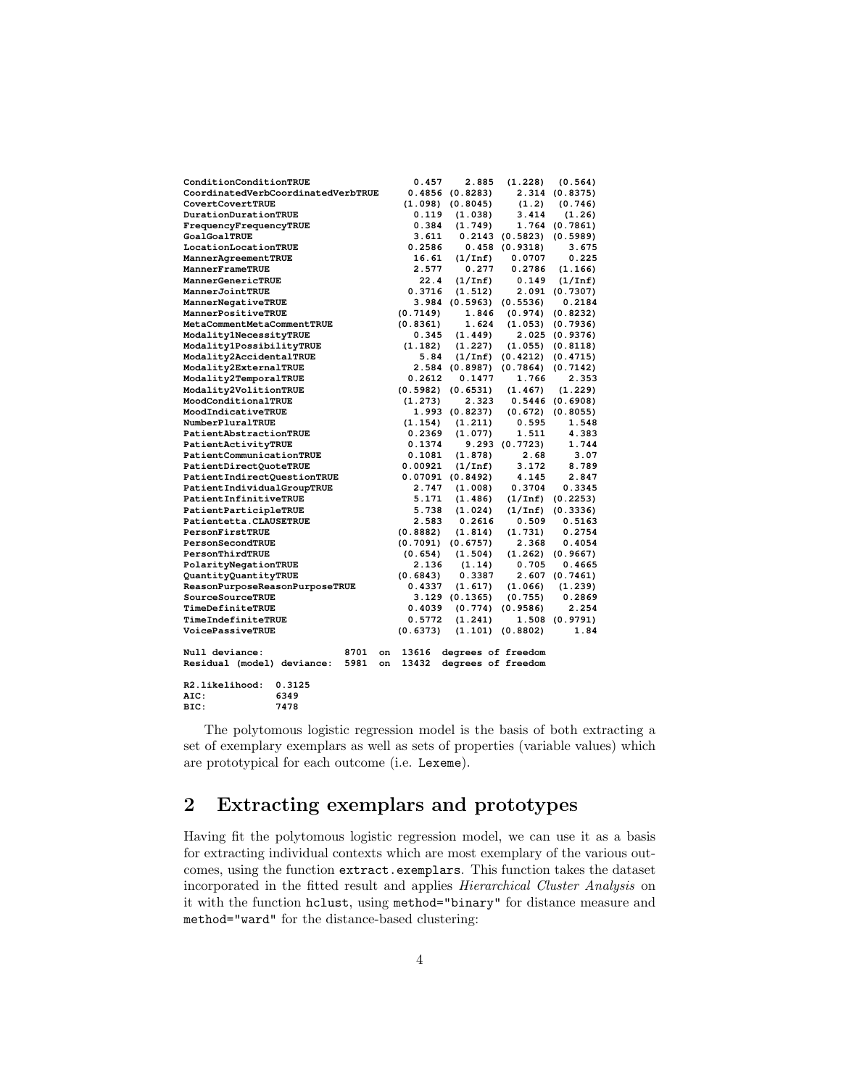| ConditionConditionTRUE             |      |    | 0.457    | 2.885                   | (1.228)               | (0.564)               |
|------------------------------------|------|----|----------|-------------------------|-----------------------|-----------------------|
| CoordinatedVerbCoordinatedVerbTRUE |      |    | 0.4856   | (0.8283)                |                       | 2.314 (0.8375)        |
| CovertCovertTRUE                   |      |    | (1.098)  | (0.8045)                | (1.2)                 | (0.746)               |
| DurationDurationTRUE               |      |    | 0.119    | (1.038)                 | 3.414                 | (1.26)                |
| FrequencyFrequencyTRUE             |      |    | 0.384    | (1.749)                 |                       | 1.764 (0.7861)        |
| <b>GoalGoalTRUE</b>                |      |    | 3.611    |                         | $0.2143$ $(0.5823)$   | (0.5989)              |
| LocationLocationTRUE               |      |    | 0.2586   |                         | 0.458(0.9318)         | 3.675                 |
| MannerAgreementTRUE                |      |    | 16.61    | (1/Inf)                 | 0.0707                | 0.225                 |
| MannerFrameTRUE                    |      |    | 2.577    | 0.277                   | 0.2786                | (1.166)               |
| MannerGenericTRUE                  |      |    | 22.4     | (1/Inf)                 | 0.149                 | (1/Inf)               |
| MannerJointTRUE                    |      |    | 0.3716   | (1.512)                 |                       | 2.091 (0.7307)        |
| MannerNegativeTRUE                 |      |    |          | 3.984 (0.5963) (0.5536) |                       | 0.2184                |
| MannerPositiveTRUE                 |      |    | (0.7149) | 1.846                   |                       | $(0.974)$ $(0.8232)$  |
| MetaCommentMetaCommentTRUE         |      |    | (0.8361) | 1.624                   |                       | $(1.053)$ $(0.7936)$  |
| Modality1NecessityTRUE             |      |    | 0.345    | (1.449)                 |                       | 2.025 (0.9376)        |
| Modality1PossibilityTRUE           |      |    | (1.182)  | (1.227)                 |                       | $(1.055)$ $(0.8118)$  |
| Modality2AccidentalTRUE            |      |    | 5.84     | $(1/\texttt{Inf})$      |                       | $(0.4212)$ $(0.4715)$ |
| Modality2ExternalTRUE              |      |    |          | 2.584 (0.8987)          | $(0.7864)$ $(0.7142)$ |                       |
| Modality2TemporalTRUE              |      |    | 0.2612   | 0.1477                  | 1.766                 | 2.353                 |
| Modality2VolitionTRUE              |      |    | (0.5982) | (0.6531)                | (1.467)               | (1.229)               |
| MoodConditionalTRUE                |      |    | (1.273)  | 2.323                   | 0.5446 (0.6908)       |                       |
| MoodIndicativeTRUE                 |      |    |          | 1.993 (0.8237)          |                       | $(0.672)$ $(0.8055)$  |
| NumberPluralTRUE                   |      |    | (1.154)  | (1.211)                 | 0.595                 | 1.548                 |
| PatientAbstractionTRUE             |      |    | 0.2369   | (1.077)                 | 1.511                 | 4.383                 |
| PatientActivityTRUE                |      |    | 0.1374   |                         | 9.293 (0.7723)        | 1.744                 |
| PatientCommunicationTRUE           |      |    | 0.1081   | (1.878)                 | 2.68                  | 3.07                  |
| PatientDirectQuoteTRUE             |      |    | 0.00921  | (1/Inf)                 | 3.172                 | 8.789                 |
| PatientIndirectQuestionTRUE        |      |    |          | $0.07091$ (0.8492)      | 4.145                 | 2.847                 |
| PatientIndividualGroupTRUE         |      |    | 2.747    | (1.008)                 | 0.3704                | 0.3345                |
| PatientInfinitiveTRUE              |      |    | 5.171    | (1.486)                 |                       | $(1/Inf)$ $(0.2253)$  |
| PatientParticipleTRUE              |      |    | 5.738    | (1.024)                 |                       | $(1/Inf)$ $(0.3336)$  |
| Patientetta.CLAUSETRUE             |      |    | 2.583    | 0.2616                  | 0.509                 | 0.5163                |
| PersonFirstTRUE                    |      |    | (0.8882) | (1.814)                 | (1.731)               | 0.2754                |
| PersonSecondTRUE                   |      |    | (0.7091) | (0.6757)                | 2.368                 | 0.4054                |
| PersonThirdTRUE                    |      |    | (0.654)  | (1.504)                 |                       | $(1.262)$ $(0.9667)$  |
| PolarityNegationTRUE               |      |    | 2.136    | (1.14)                  | 0.705                 | 0.4665                |
| QuantityQuantityTRUE               |      |    | (0.6843) | 0.3387                  |                       | 2.607 (0.7461)        |
| ReasonPurposeReasonPurposeTRUE     |      |    | 0.4337   | (1.617)                 | (1.066)               | (1.239)               |
| SourceSourceTRUE                   |      |    |          | 3.129(0.1365)           | (0.755)               | 0.2869                |
| TimeDefiniteTRUE                   |      |    | 0.4039   | (0.774)                 | (0.9586)              | 2.254                 |
| TimeIndefiniteTRUE                 |      |    | 0.5772   | (1.241)                 |                       | 1.508 (0.9791)        |
| VoicePassiveTRUE                   |      |    | (0.6373) | (1.101)                 | (0.8802)              | 1.84                  |
| Null deviance:                     | 8701 | on | 13616    | degrees of freedom      |                       |                       |
| Residual (model) deviance:         | 5981 | on | 13432    | degrees of freedom      |                       |                       |
| R2.likelihood:<br>0.3125           |      |    |          |                         |                       |                       |
| 6349<br>AIC:                       |      |    |          |                         |                       |                       |
| BIC:<br>7478                       |      |    |          |                         |                       |                       |

The polytomous logistic regression model is the basis of both extracting a set of exemplary exemplars as well as sets of properties (variable values) which are prototypical for each outcome (i.e. Lexeme).

# 2 Extracting exemplars and prototypes

Having fit the polytomous logistic regression model, we can use it as a basis for extracting individual contexts which are most exemplary of the various outcomes, using the function extract.exemplars. This function takes the dataset incorporated in the fitted result and applies Hierarchical Cluster Analysis on it with the function hclust, using method="binary" for distance measure and method="ward" for the distance-based clustering: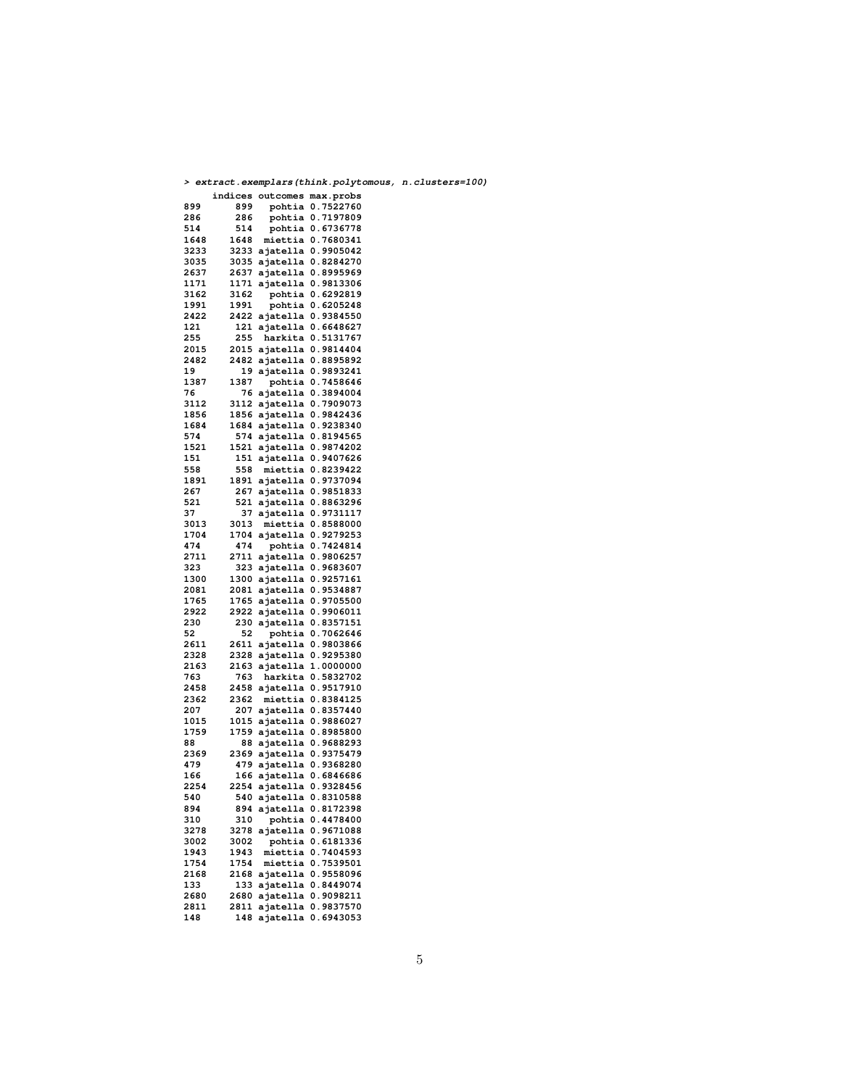|              |      | > extract.exemplars(think.polytomous, n.cluste   |  |
|--------------|------|--------------------------------------------------|--|
|              |      | indices outcomes max.probs                       |  |
| 899          | 899  | pohtia 0.7522760                                 |  |
| 286          | 286  | pohtia 0.7197809                                 |  |
| 514          | 514  | pohtia 0.6736778                                 |  |
| 1648         | 1648 | miettia 0.7680341                                |  |
| 3233         |      | 3233 ajatella 0.9905042                          |  |
| 3035         |      | 3035 ajatella 0.8284270                          |  |
| 2637         | 2637 | ajatella 0.8995969                               |  |
| 1171         | 1171 | ajatella 0.9813306                               |  |
| 3162         | 3162 | pohtia 0.6292819                                 |  |
| 1991         | 1991 | pohtia 0.6205248                                 |  |
| 2422         |      | 2422 ajatella 0.9384550                          |  |
| 121          | 121  | ajatella 0.6648627                               |  |
| 255          | 255  | harkita 0.5131767                                |  |
| 2015         |      | 2015 ajatella 0.9814404                          |  |
| 2482         | 2482 | ajatella 0.8895892                               |  |
| 19           | 19   | ajatella 0.9893241                               |  |
|              | 1387 |                                                  |  |
| 1387<br>76   |      | pohtia 0.7458646                                 |  |
|              |      | 76 ajatella 0.3894004                            |  |
| 3112         | 3112 | ajatella 0.7909073                               |  |
| 1856         | 1856 | ajatella 0.9842436                               |  |
| 1684         |      | 1684 ajatella 0.9238340                          |  |
| 574          |      | 574 ajatella 0.8194565                           |  |
| 1521         |      | 1521 ajatella 0.9874202                          |  |
| 151          |      | 151 ajatella 0.9407626                           |  |
| 558          | 558  | miettia 0.8239422                                |  |
| 1891         | 1891 | ajatella 0.9737094                               |  |
| 267          |      | 267 ajatella 0.9851833                           |  |
| 521          | 521  | ajatella 0.8863296                               |  |
| 37           | 37   | ajatella 0.9731117                               |  |
| 3013         | 3013 | miettia 0.8588000                                |  |
| 1704         |      | 1704 ajatella 0.9279253                          |  |
| 474          | 474  | pohtia 0.7424814                                 |  |
| 2711         | 2711 | ajatella 0.9806257                               |  |
| 323          |      | 323 ajatella 0.9683607                           |  |
| 1300         |      | 1300 ajatella 0.9257161                          |  |
| 2081         | 2081 | ajatella 0.9534887                               |  |
| 1765         |      | 1765 ajatella 0.9705500                          |  |
| 2922         |      | 2922 ajatella 0.9906011                          |  |
| 230          | 230  | ajatella 0.8357151                               |  |
| 52           | 52   | pohtia 0.7062646                                 |  |
| 2611         | 2611 | ajatella 0.9803866                               |  |
| 2328         |      | 2328 ajatella 0.9295380                          |  |
| 2163         |      | 2163 ajatella 1.0000000                          |  |
| 763          | 763  | harkita 0.5832702                                |  |
| 2458         |      | 2458 ajatella 0.9517910                          |  |
| 2362         | 2362 | miettia 0.8384125                                |  |
| 207          | 207  | ajatella 0.8357440                               |  |
| 1015         | 1015 | ajatella 0.9886027                               |  |
| 1759         | 1759 | ajatella 0.8985800                               |  |
| 88           | 88   | ajatella 0.9688293                               |  |
| 2369         | 2369 | ajatella 0.9375479                               |  |
| 479          | 479  | ajatella 0.9368280                               |  |
| 166          |      | 166 ajatella 0.6846686                           |  |
| 2254         | 2254 | ajatella 0.9328456                               |  |
|              |      |                                                  |  |
| 540<br>894   |      | 540 ajatella 0.8310588<br>894 ajatella 0.8172398 |  |
| 310          | 310  | pohtia 0.4478400                                 |  |
| 3278         | 3278 | ajatella 0.9671088                               |  |
|              |      |                                                  |  |
| 3002         | 3002 | pohtia 0.6181336                                 |  |
| 1943         | 1943 | miettia 0.7404593<br>miettia 0.7539501           |  |
| 1754<br>2168 | 1754 |                                                  |  |
|              | 2168 | ajatella 0.9558096                               |  |
| 133          | 133  | ajatella 0.8449074                               |  |
| 2680         | 2680 | ajatella 0.9098211                               |  |
| 2811         | 2811 | ajatella 0.9837570                               |  |
| 148          | 148  | ajatella 0.6943053                               |  |

**> extract.exemplars(think.polytomous, n.clusters=100)**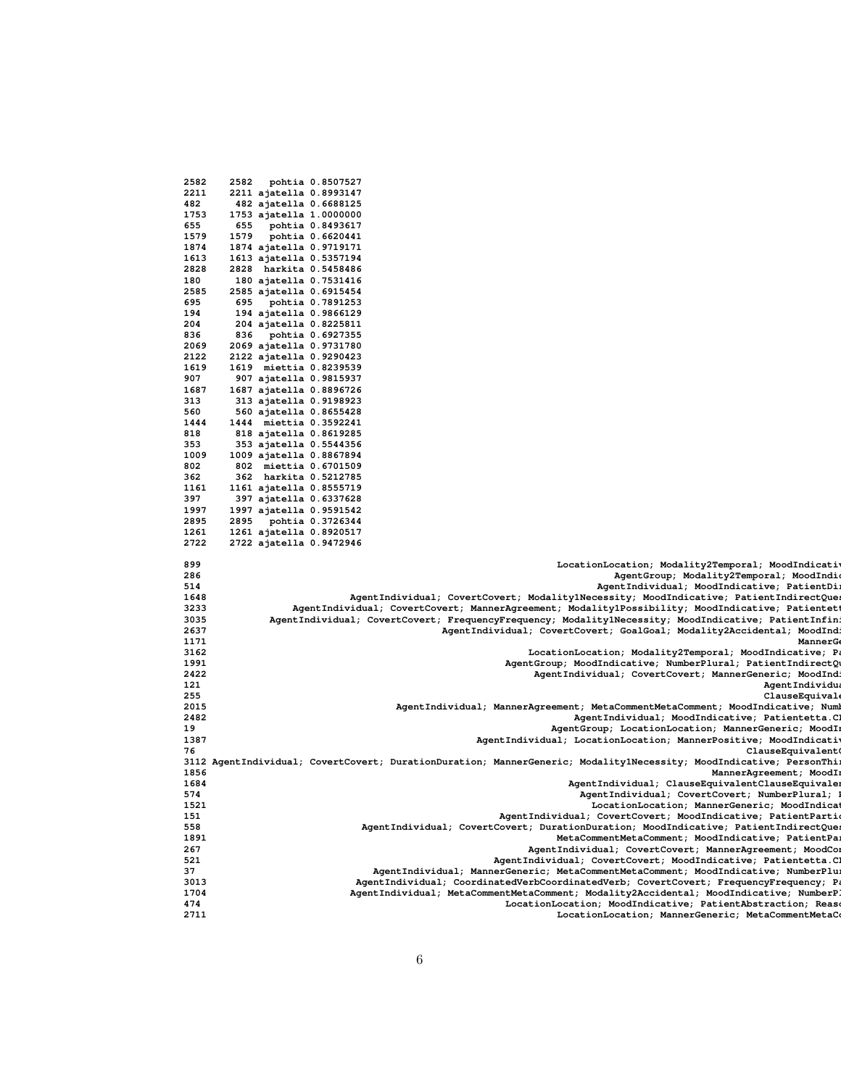| 2582 | 2582<br>pohtia 0.8507527                                                                                           |
|------|--------------------------------------------------------------------------------------------------------------------|
| 2211 | 2211 ajatella 0.8993147                                                                                            |
|      |                                                                                                                    |
| 482  | 482 ajatella 0.6688125                                                                                             |
| 1753 | 1753 ajatella 1.0000000                                                                                            |
| 655  | 655<br>pohtia 0.8493617                                                                                            |
| 1579 | 1579<br>pohtia 0.6620441                                                                                           |
| 1874 | 1874 ajatella 0.9719171                                                                                            |
|      |                                                                                                                    |
| 1613 | 1613 ajatella 0.5357194                                                                                            |
| 2828 | 2828 harkita 0.5458486                                                                                             |
| 180  | 180 ajatella 0.7531416                                                                                             |
| 2585 | 2585 ajatella 0.6915454                                                                                            |
| 695  |                                                                                                                    |
|      | 695<br>pohtia 0.7891253                                                                                            |
| 194  | 194 ajatella 0.9866129                                                                                             |
| 204  | 204 ajatella 0.8225811                                                                                             |
| 836  | pohtia 0.6927355<br>836                                                                                            |
| 2069 | 2069 ajatella 0.9731780                                                                                            |
|      |                                                                                                                    |
| 2122 | 2122 ajatella 0.9290423                                                                                            |
| 1619 | 1619 miettia 0.8239539                                                                                             |
| 907  | 907 ajatella 0.9815937                                                                                             |
| 1687 | 1687 ajatella 0.8896726                                                                                            |
| 313  |                                                                                                                    |
|      | 313 ajatella 0.9198923                                                                                             |
| 560  | 560 ajatella 0.8655428                                                                                             |
| 1444 | 1444 miettia 0.3592241                                                                                             |
| 818  | 818 ajatella 0.8619285                                                                                             |
| 353  | 353 ajatella 0.5544356                                                                                             |
|      |                                                                                                                    |
| 1009 | 1009 ajatella 0.8867894                                                                                            |
| 802  | 802 miettia 0.6701509                                                                                              |
| 362  | 362 harkita 0.5212785                                                                                              |
| 1161 | 1161 ajatella 0.8555719                                                                                            |
| 397  | 397 ajatella 0.6337628                                                                                             |
|      |                                                                                                                    |
| 1997 | 1997 ajatella 0.9591542                                                                                            |
| 2895 | 2895<br>pohtia 0.3726344                                                                                           |
| 1261 | 1261 ajatella 0.8920517                                                                                            |
| 2722 | 2722 ajatella 0.9472946                                                                                            |
|      |                                                                                                                    |
| 899  | LocationLocation; Modality2Temporal; MoodIndicativ                                                                 |
|      |                                                                                                                    |
| 286  | AgentGroup; Modality2Temporal; MoodIndi                                                                            |
| 514  | AgentIndividual; MoodIndicative; PatientDi                                                                         |
| 1648 | AgentIndividual; CovertCovert; Modality1Necessity; MoodIndicative; PatientIndirectQue                              |
| 3233 | AgentIndividual; CovertCovert; MannerAgreement; Modality1Possibility; MoodIndicative; Patientet                    |
|      |                                                                                                                    |
| 3035 | AgentIndividual; CovertCovert; FrequencyFrequency; Modality1Necessity; MoodIndicative; PatientInfin                |
| 2637 | AgentIndividual; CovertCovert; GoalGoal; Modality2Accidental; MoodInd:                                             |
| 1171 | MannerG                                                                                                            |
| 3162 | LocationLocation; Modality2Temporal; MoodIndicative; P.                                                            |
| 1991 | AgentGroup; MoodIndicative; NumberPlural; PatientIndirectQ                                                         |
|      |                                                                                                                    |
| 2422 | AgentIndividual; CovertCovert; MannerGeneric; MoodInd.                                                             |
| 121  | AgentIndividu                                                                                                      |
| 255  | ClauseEquival                                                                                                      |
| 2015 | AgentIndividual; MannerAgreement; MetaCommentMetaComment; MoodIndicative; Numl                                     |
|      |                                                                                                                    |
|      |                                                                                                                    |
| 2482 | AgentIndividual; MoodIndicative; Patientetta.C.                                                                    |
| 19   | AgentGroup; LocationLocation; MannerGeneric; MoodI:                                                                |
| 1387 | AgentIndividual; LocationLocation; MannerPositive; MoodIndicativ                                                   |
| 76   |                                                                                                                    |
|      | ClauseEquivalent                                                                                                   |
|      | 3112 AgentIndividual; CovertCovert; DurationDuration; MannerGeneric; Modality1Necessity; MoodIndicative; PersonThi |
| 1856 | MannerAgreement; MoodI:                                                                                            |
| 1684 | AgentIndividual; ClauseEquivalentClauseEquivale                                                                    |
| 574  | AgentIndividual; CovertCovert; NumberPlural;                                                                       |
|      |                                                                                                                    |
| 1521 | LocationLocation; MannerGeneric; MoodIndicat                                                                       |
| 151  | AgentIndividual; CovertCovert; MoodIndicative; PatientPartio                                                       |
| 558  | AgentIndividual; CovertCovert; DurationDuration; MoodIndicative; PatientIndirectQue                                |
| 1891 | MetaCommentMetaComment; MoodIndicative; PatientPa:                                                                 |
| 267  | AgentIndividual; CovertCovert; MannerAgreement; MoodCor                                                            |
|      |                                                                                                                    |
| 521  | AgentIndividual; CovertCovert; MoodIndicative; Patientetta.C.                                                      |
| 37   | AgentIndividual; MannerGeneric; MetaCommentMetaComment; MoodIndicative; NumberPlu:                                 |
| 3013 | AgentIndividual; CoordinatedVerbCoordinatedVerb; CovertCovert; FrequencyFrequency; Pa                              |
| 1704 | AgentIndividual; MetaCommentMetaComment; Modality2Accidental; MoodIndicative; NumberP                              |
| 474  |                                                                                                                    |
|      | LocationLocation; MoodIndicative; PatientAbstraction; Rease                                                        |
| 2711 | LocationLocation; MannerGeneric; MetaCommentMetaCo                                                                 |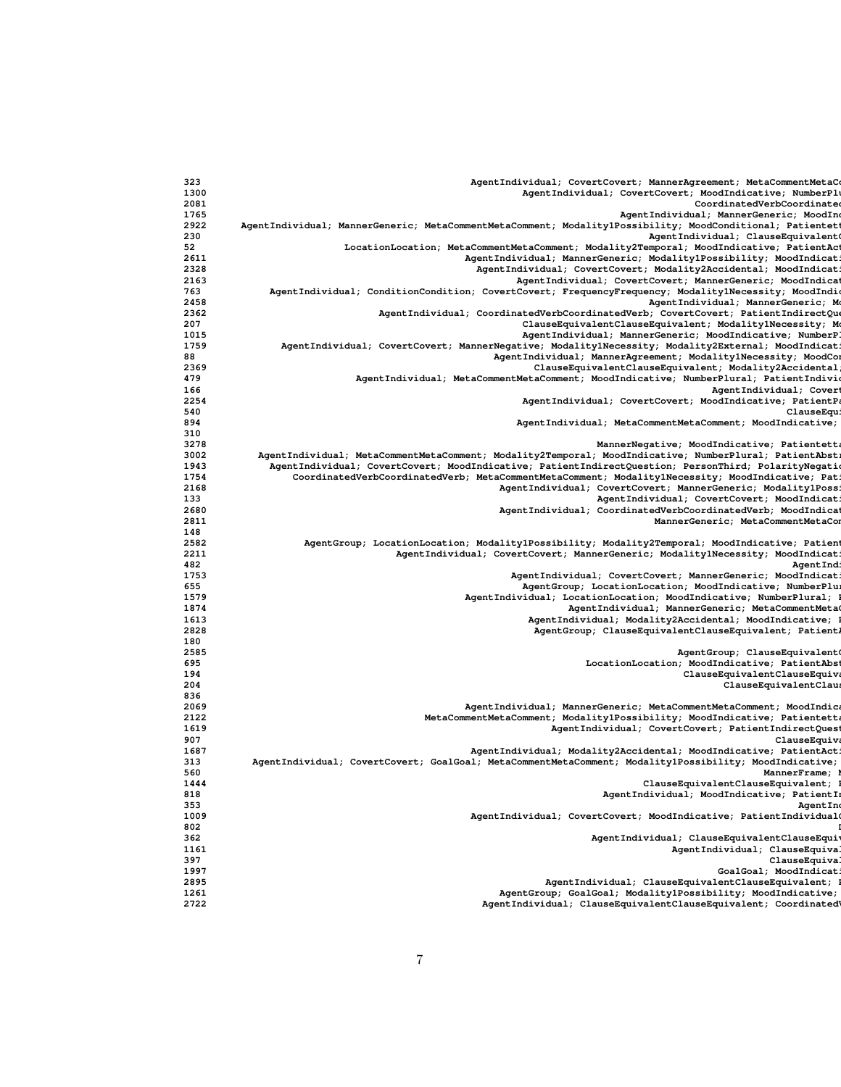| 323  | AgentIndividual; CovertCovert; MannerAgreement; MetaCommentMetaC                                          |
|------|-----------------------------------------------------------------------------------------------------------|
| 1300 | AgentIndividual; CovertCovert; MoodIndicative; NumberPl                                                   |
| 2081 | CoordinatedVerbCoordinate                                                                                 |
| 1765 | AgentIndividual; MannerGeneric; MoodIno                                                                   |
| 2922 | AgentIndividual; MannerGeneric; MetaCommentMetaComment; Modality1Possibility; MoodConditional; Patientett |
| 230  | AgentIndividual; ClauseEquivalent                                                                         |
| 52   | LocationLocation; MetaCommentMetaComment; Modality2Temporal; MoodIndicative; PatientAc                    |
| 2611 | AgentIndividual; MannerGeneric; Modality1Possibility; MoodIndicat:                                        |
|      |                                                                                                           |
| 2328 | AgentIndividual; CovertCovert; Modality2Accidental; MoodIndicat:                                          |
| 2163 | AgentIndividual; CovertCovert; MannerGeneric; MoodIndica                                                  |
| 763  | AgentIndividual; ConditionCondition; CovertCovert; FrequencyFrequency; Modality1Necessity; MoodIndi       |
| 2458 | AgentIndividual; MannerGeneric; Mo                                                                        |
| 2362 | AgentIndividual; CoordinatedVerbCoordinatedVerb; CovertCovert; PatientIndirectQue                         |
| 207  | ClauseEquivalentClauseEquivalent; Modality1Necessity; Mo                                                  |
| 1015 | AgentIndividual; MannerGeneric; MoodIndicative; NumberP.                                                  |
| 1759 | AgentIndividual; CovertCovert; MannerNegative; Modality1Necessity; Modality2External; MoodIndicat:        |
| 88   | AgentIndividual; MannerAgreement; Modality1Necessity; MoodCor                                             |
| 2369 | ClauseEquivalentClauseEquivalent; Modality2Accidental                                                     |
| 479  | AgentIndividual; MetaCommentMetaComment; MoodIndicative; NumberPlural; PatientIndivi                      |
|      |                                                                                                           |
| 166  | AgentIndividual; Covert                                                                                   |
| 2254 | AgentIndividual; CovertCovert; MoodIndicative; PatientPa                                                  |
| 540  | ClauseEqu:                                                                                                |
| 894  | AgentIndividual; MetaCommentMetaComment; MoodIndicative;                                                  |
| 310  |                                                                                                           |
| 3278 | MannerNegative; MoodIndicative; Patientetta                                                               |
| 3002 | AgentIndividual; MetaCommentMetaComment; Modality2Temporal; MoodIndicative; NumberPlural; PatientAbst;    |
| 1943 | AgentIndividual; CovertCovert; MoodIndicative; PatientIndirectQuestion; PersonThird; PolarityNegatio      |
| 1754 | CoordinatedVerbCoordinatedVerb; MetaCommentMetaComment; Modality1Necessity; MoodIndicative; Pat           |
| 2168 | AgentIndividual; CovertCovert; MannerGeneric; Modality1Poss:                                              |
| 133  | AgentIndividual; CovertCovert; MoodIndicat;                                                               |
| 2680 | AgentIndividual; CoordinatedVerbCoordinatedVerb; MoodIndica                                               |
| 2811 | MannerGeneric; MetaCommentMetaCom                                                                         |
|      |                                                                                                           |
| 148  |                                                                                                           |
| 2582 | AgentGroup; LocationLocation; Modality1Possibility; Modality2Temporal; MoodIndicative; Patient            |
| 2211 | AgentIndividual; CovertCovert; MannerGeneric; Modality1Necessity; MoodIndicat:                            |
| 482  | Agent Ind:                                                                                                |
| 1753 | AgentIndividual; CovertCovert; MannerGeneric; MoodIndicat                                                 |
| 655  | AgentGroup; LocationLocation; MoodIndicative; NumberPlu:                                                  |
| 1579 | AgentIndividual; LocationLocation; MoodIndicative; NumberPlural;                                          |
| 1874 | AgentIndividual; MannerGeneric; MetaCommentMeta                                                           |
| 1613 | AgentIndividual; Modality2Accidental; MoodIndicative;                                                     |
| 2828 | AgentGroup; ClauseEquivalentClauseEquivalent; Patient                                                     |
| 180  |                                                                                                           |
|      |                                                                                                           |
| 2585 | AgentGroup; ClauseEquivalent                                                                              |
| 695  | LocationLocation; MoodIndicative; PatientAbs                                                              |
| 194  | ClauseEquivalentClauseEquiva                                                                              |
| 204  | ClauseEquivalentClaus                                                                                     |
| 836  |                                                                                                           |
| 2069 | AgentIndividual; MannerGeneric; MetaCommentMetaComment; MoodIndica                                        |
| 2122 | MetaCommentMetaComment; Modality1Possibility; MoodIndicative; Patientett;                                 |
| 1619 | AgentIndividual; CovertCovert; PatientIndirectQuest                                                       |
| 907  | ClauseEquiva                                                                                              |
| 1687 | AgentIndividual; Modality2Accidental; MoodIndicative; PatientAct:                                         |
| 313  | AgentIndividual; CovertCovert; GoalGoal; MetaCommentMetaComment; Modality1Possibility; MoodIndicative;    |
| 560  | MannerFrame;                                                                                              |
|      |                                                                                                           |
| 1444 | ClauseEquivalentClauseEquivalent;                                                                         |
| 818  | AgentIndividual; MoodIndicative; PatientI                                                                 |
| 353  | AgentIne                                                                                                  |
| 1009 | AgentIndividual; CovertCovert; MoodIndicative; PatientIndividual                                          |
| 802  |                                                                                                           |
| 362  | AgentIndividual; ClauseEquivalentClauseEquiv                                                              |
| 1161 | AgentIndividual; ClauseEquival                                                                            |
| 397  | ClauseEquiva                                                                                              |
| 1997 | GoalGoal; MoodIndicat:                                                                                    |
| 2895 | AgentIndividual; ClauseEquivalentClauseEquivalent;                                                        |
| 1261 | AgentGroup; GoalGoal; Modality1Possibility; MoodIndicative;                                               |
|      |                                                                                                           |
| 2722 | AgentIndividual; ClauseEquivalentClauseEquivalent; Coordinated                                            |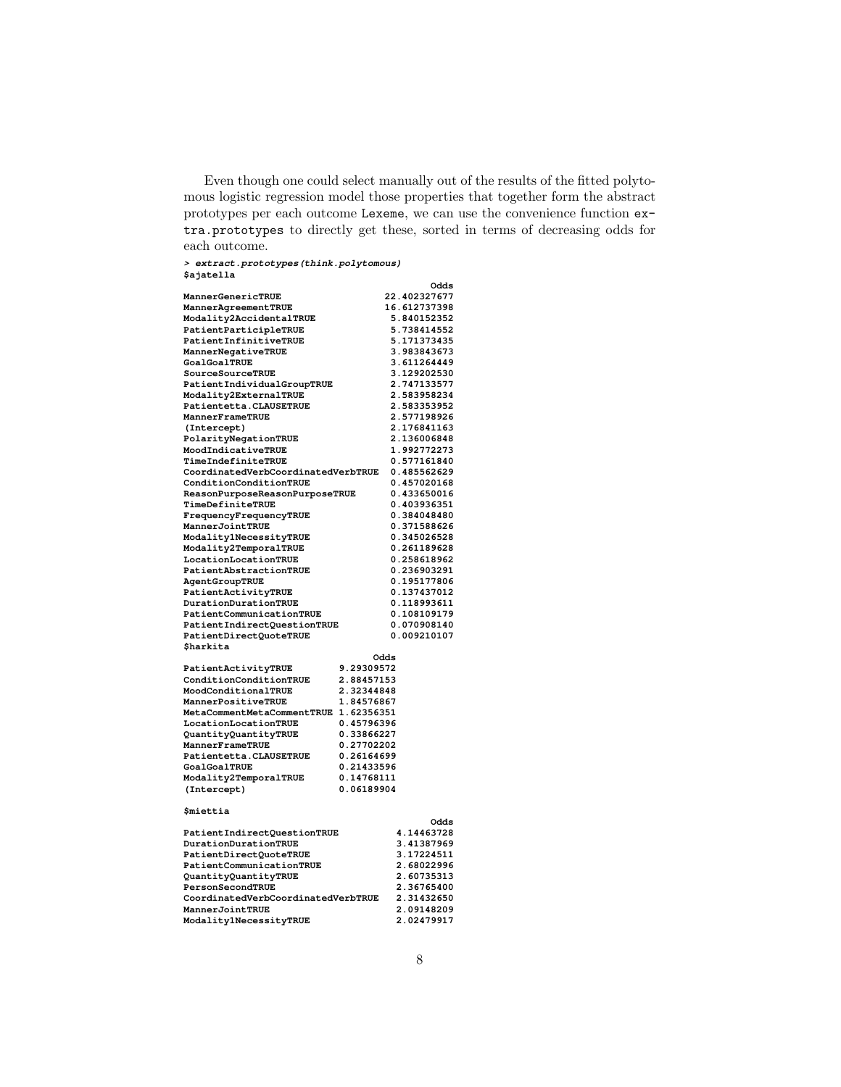Even though one could select manually out of the results of the fitted polytomous logistic regression model those properties that together form the abstract prototypes per each outcome Lexeme, we can use the convenience function extra.prototypes to directly get these, sorted in terms of decreasing odds for each outcome.

**> extract.prototypes(think.polytomous) \$ajatella**

|                                                |            | Odds                       |
|------------------------------------------------|------------|----------------------------|
| MannerGenericTRUE                              |            | 22.402327677               |
| MannerAgreementTRUE                            |            | 16.612737398               |
| Modality2AccidentalTRUE                        |            | 5.840152352                |
| PatientParticipleTRUE                          |            | 5.738414552                |
| PatientInfinitiveTRUE                          |            | 5.171373435                |
| MannerNegativeTRUE                             |            | 3.983843673                |
| GoalGoalTRUE                                   |            | 3.611264449                |
| SourceSourceTRUE                               |            | 3.129202530                |
| PatientIndividualGroupTRUE                     |            | 2.747133577                |
| Modality2ExternalTRUE                          |            | 2.583958234                |
| Patientetta.CLAUSETRUE                         |            | 2.583353952                |
| MannerFrameTRUE                                |            | 2.577198926                |
| (Intercept)                                    |            | 2.176841163                |
| PolarityNegationTRUE                           |            | 2.136006848                |
| MoodIndicativeTRUE                             |            | 1.992772273                |
| TimeIndefiniteTRUE                             |            | 0.577161840                |
| CoordinatedVerbCoordinatedVerbTRUE             |            | 0.485562629                |
| ConditionConditionTRUE                         |            | 0.457020168                |
| ReasonPurposeReasonPurposeTRUE                 |            | 0.433650016                |
| TimeDefiniteTRUE                               |            | 0.403936351                |
| FrequencyFrequencyTRUE                         |            | 0.384048480                |
| MannerJointTRUE                                |            | 0.371588626                |
| Modality1NecessityTRUE                         |            | 0.345026528                |
| Modality2TemporalTRUE                          |            | 0.261189628                |
| LocationLocationTRUE                           |            | 0.258618962                |
| PatientAbstractionTRUE                         |            | 0.236903291                |
| AgentGroupTRUE                                 |            | 0.195177806<br>0.137437012 |
| PatientActivityTRUE<br>DurationDurationTRUE    |            | 0.118993611                |
| PatientCommunicationTRUE                       |            | 0.108109179                |
| PatientIndirectQuestionTRUE                    |            | 0.070908140                |
| PatientDirectQuoteTRUE                         |            | 0.009210107                |
| \$harkita                                      |            |                            |
|                                                | Odds       |                            |
| PatientActivityTRUE                            | 9.29309572 |                            |
| ConditionConditionTRUE                         | 2.88457153 |                            |
| MoodConditionalTRUE                            | 2.32344848 |                            |
| MannerPositiveTRUE                             | 1.84576867 |                            |
| MetaCommentMetaCommentTRUE                     | 1.62356351 |                            |
| LocationLocationTRUE                           | 0.45796396 |                            |
| QuantityQuantityTRUE                           | 0.33866227 |                            |
| MannerFrameTRUE                                | 0.27702202 |                            |
| Patientetta.CLAUSETRUE                         | 0.26164699 |                            |
| <b>GoalGoalTRUE</b>                            | 0.21433596 |                            |
| Modality2TemporalTRUE                          | 0.14768111 |                            |
| (Intercept)                                    | 0.06189904 |                            |
| \$miettia                                      |            |                            |
|                                                |            | Odds                       |
| PatientIndirectQuestionTRUE                    |            | 4.14463728                 |
| DurationDurationTRUE<br>PatientDirectQuoteTRUE |            | 3.41387969<br>3.17224511   |
| PatientCommunicationTRUE                       |            | 2.68022996                 |
| QuantityQuantityTRUE                           |            | 2.60735313                 |
| PersonSecondTRUE                               |            | 2.36765400                 |
| CoordinatedVerbCoordinatedVerbTRUE             |            | 2.31432650                 |
|                                                |            |                            |

**MannerJointTRUE 2.09148209**<br>Modality1NecessityTRUE 2.02479917

**Modality1NecessityTRUE 2.02479917**